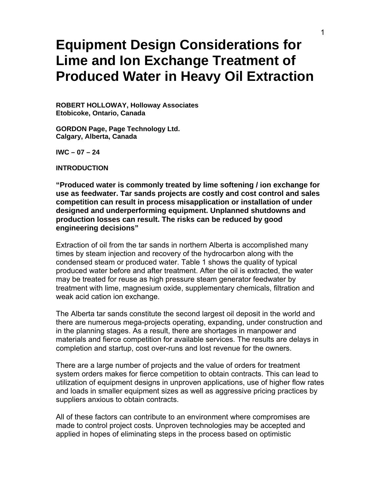# **Equipment Design Considerations for Lime and Ion Exchange Treatment of Produced Water in Heavy Oil Extraction**

**ROBERT HOLLOWAY, Holloway Associates Etobicoke, Ontario, Canada** 

**GORDON Page, Page Technology Ltd. Calgary, Alberta, Canada** 

**IWC – 07 – 24** 

**INTRODUCTION** 

**"Produced water is commonly treated by lime softening / ion exchange for use as feedwater. Tar sands projects are costly and cost control and sales competition can result in process misapplication or installation of under designed and underperforming equipment. Unplanned shutdowns and production losses can result. The risks can be reduced by good engineering decisions"**

Extraction of oil from the tar sands in northern Alberta is accomplished many times by steam injection and recovery of the hydrocarbon along with the condensed steam or produced water. Table 1 shows the quality of typical produced water before and after treatment. After the oil is extracted, the water may be treated for reuse as high pressure steam generator feedwater by treatment with lime, magnesium oxide, supplementary chemicals, filtration and weak acid cation ion exchange.

The Alberta tar sands constitute the second largest oil deposit in the world and there are numerous mega-projects operating, expanding, under construction and in the planning stages. As a result, there are shortages in manpower and materials and fierce competition for available services. The results are delays in completion and startup, cost over-runs and lost revenue for the owners.

There are a large number of projects and the value of orders for treatment system orders makes for fierce competition to obtain contracts. This can lead to utilization of equipment designs in unproven applications, use of higher flow rates and loads in smaller equipment sizes as well as aggressive pricing practices by suppliers anxious to obtain contracts.

All of these factors can contribute to an environment where compromises are made to control project costs. Unproven technologies may be accepted and applied in hopes of eliminating steps in the process based on optimistic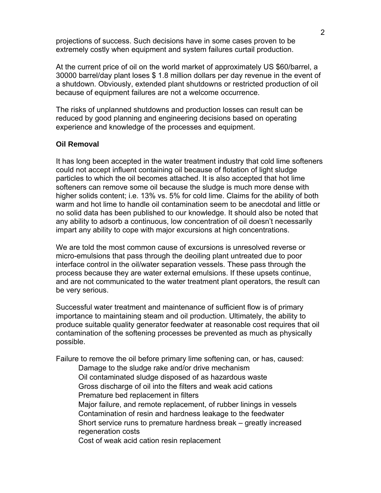projections of success. Such decisions have in some cases proven to be extremely costly when equipment and system failures curtail production.

At the current price of oil on the world market of approximately US \$60/barrel, a 30000 barrel/day plant loses \$ 1.8 million dollars per day revenue in the event of a shutdown. Obviously, extended plant shutdowns or restricted production of oil because of equipment failures are not a welcome occurrence.

The risks of unplanned shutdowns and production losses can result can be reduced by good planning and engineering decisions based on operating experience and knowledge of the processes and equipment.

### **Oil Removal**

It has long been accepted in the water treatment industry that cold lime softeners could not accept influent containing oil because of flotation of light sludge particles to which the oil becomes attached. It is also accepted that hot lime softeners can remove some oil because the sludge is much more dense with higher solids content; i.e. 13% vs. 5% for cold lime. Claims for the ability of both warm and hot lime to handle oil contamination seem to be anecdotal and little or no solid data has been published to our knowledge. It should also be noted that any ability to adsorb a continuous, low concentration of oil doesn't necessarily impart any ability to cope with major excursions at high concentrations.

We are told the most common cause of excursions is unresolved reverse or micro-emulsions that pass through the deoiling plant untreated due to poor interface control in the oil/water separation vessels. These pass through the process because they are water external emulsions. If these upsets continue, and are not communicated to the water treatment plant operators, the result can be very serious.

Successful water treatment and maintenance of sufficient flow is of primary importance to maintaining steam and oil production. Ultimately, the ability to produce suitable quality generator feedwater at reasonable cost requires that oil contamination of the softening processes be prevented as much as physically possible.

Failure to remove the oil before primary lime softening can, or has, caused:

 Damage to the sludge rake and/or drive mechanism Oil contaminated sludge disposed of as hazardous waste Gross discharge of oil into the filters and weak acid cations Premature bed replacement in filters Major failure, and remote replacement, of rubber linings in vessels Contamination of resin and hardness leakage to the feedwater Short service runs to premature hardness break – greatly increased regeneration costs Cost of weak acid cation resin replacement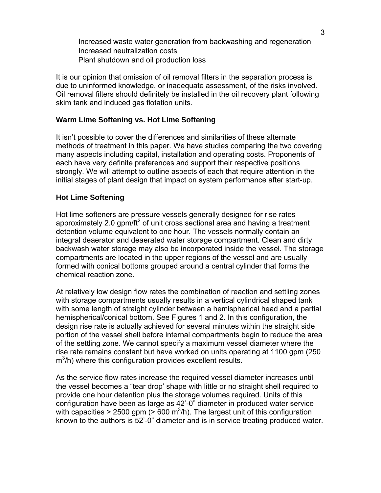Increased waste water generation from backwashing and regeneration Increased neutralization costs Plant shutdown and oil production loss

It is our opinion that omission of oil removal filters in the separation process is due to uninformed knowledge, or inadequate assessment, of the risks involved. Oil removal filters should definitely be installed in the oil recovery plant following skim tank and induced gas flotation units.

#### **Warm Lime Softening vs. Hot Lime Softening**

It isn't possible to cover the differences and similarities of these alternate methods of treatment in this paper. We have studies comparing the two covering many aspects including capital, installation and operating costs. Proponents of each have very definite preferences and support their respective positions strongly. We will attempt to outline aspects of each that require attention in the initial stages of plant design that impact on system performance after start-up.

#### **Hot Lime Softening**

Hot lime softeners are pressure vessels generally designed for rise rates approximately 2.0 gpm/ft<sup>2</sup> of unit cross sectional area and having a treatment detention volume equivalent to one hour. The vessels normally contain an integral deaerator and deaerated water storage compartment. Clean and dirty backwash water storage may also be incorporated inside the vessel. The storage compartments are located in the upper regions of the vessel and are usually formed with conical bottoms grouped around a central cylinder that forms the chemical reaction zone.

At relatively low design flow rates the combination of reaction and settling zones with storage compartments usually results in a vertical cylindrical shaped tank with some length of straight cylinder between a hemispherical head and a partial hemispherical/conical bottom. See Figures 1 and 2. In this configuration, the design rise rate is actually achieved for several minutes within the straight side portion of the vessel shell before internal compartments begin to reduce the area of the settling zone. We cannot specify a maximum vessel diameter where the rise rate remains constant but have worked on units operating at 1100 gpm (250 m<sup>3</sup>/h) where this configuration provides excellent results.

As the service flow rates increase the required vessel diameter increases until the vessel becomes a "tear drop' shape with little or no straight shell required to provide one hour detention plus the storage volumes required. Units of this configuration have been as large as 42'-0" diameter in produced water service with capacities > 2500 gpm (> 600 m<sup>3</sup>/h). The largest unit of this configuration known to the authors is 52'-0" diameter and is in service treating produced water.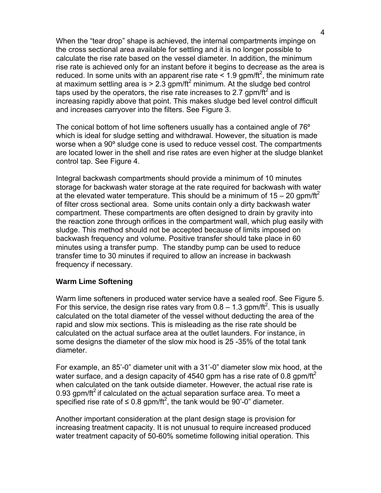When the "tear drop" shape is achieved, the internal compartments impinge on the cross sectional area available for settling and it is no longer possible to calculate the rise rate based on the vessel diameter. In addition, the minimum rise rate is achieved only for an instant before it begins to decrease as the area is reduced. In some units with an apparent rise rate  $\leq 1.9$  gpm/ft<sup>2</sup>, the minimum rate at maximum settling area is  $> 2.3$  gpm/ft<sup>2</sup> minimum. At the sludge bed control taps used by the operators, the rise rate increases to 2.7 gpm/ $\tilde{t}^2$  and is increasing rapidly above that point. This makes sludge bed level control difficult and increases carryover into the filters. See Figure 3.

The conical bottom of hot lime softeners usually has a contained angle of 76º which is ideal for sludge setting and withdrawal. However, the situation is made worse when a 90º sludge cone is used to reduce vessel cost. The compartments are located lower in the shell and rise rates are even higher at the sludge blanket control tap. See Figure 4.

Integral backwash compartments should provide a minimum of 10 minutes storage for backwash water storage at the rate required for backwash with water at the elevated water temperature. This should be a minimum of  $15 - 20$  gpm/ft<sup>2</sup> of filter cross sectional area. Some units contain only a dirty backwash water compartment. These compartments are often designed to drain by gravity into the reaction zone through orifices in the compartment wall, which plug easily with sludge. This method should not be accepted because of limits imposed on backwash frequency and volume. Positive transfer should take place in 60 minutes using a transfer pump. The standby pump can be used to reduce transfer time to 30 minutes if required to allow an increase in backwash frequency if necessary.

#### **Warm Lime Softening**

Warm lime softeners in produced water service have a sealed roof. See Figure 5. For this service, the design rise rates vary from  $0.8 - 1.3$  gpm/ft<sup>2</sup>. This is usually calculated on the total diameter of the vessel without deducting the area of the rapid and slow mix sections. This is misleading as the rise rate should be calculated on the actual surface area at the outlet launders. For instance, in some designs the diameter of the slow mix hood is 25 -35% of the total tank diameter.

For example, an 85'-0" diameter unit with a 31'-0" diameter slow mix hood, at the water surface, and a design capacity of 4540 gpm has a rise rate of 0.8 gpm/ft<sup>2</sup> when calculated on the tank outside diameter. However, the actual rise rate is 0.93 gpm/ft<sup>2</sup> if calculated on the actual separation surface area. To meet a specified rise rate of  $\leq 0.8$  gpm/ft<sup>2</sup>, the tank would be 90'-0" diameter.

Another important consideration at the plant design stage is provision for increasing treatment capacity. It is not unusual to require increased produced water treatment capacity of 50-60% sometime following initial operation. This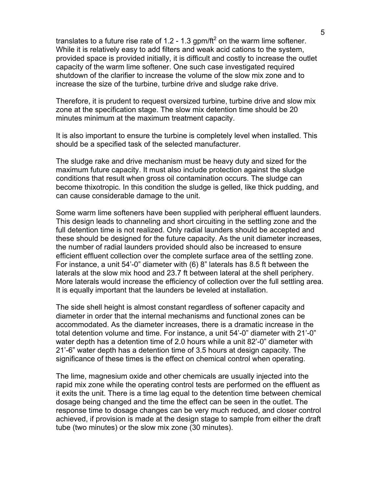translates to a future rise rate of 1.2 - 1.3 gpm/ft<sup>2</sup> on the warm lime softener. While it is relatively easy to add filters and weak acid cations to the system, provided space is provided initially, it is difficult and costly to increase the outlet capacity of the warm lime softener. One such case investigated required shutdown of the clarifier to increase the volume of the slow mix zone and to increase the size of the turbine, turbine drive and sludge rake drive.

Therefore, it is prudent to request oversized turbine, turbine drive and slow mix zone at the specification stage. The slow mix detention time should be 20 minutes minimum at the maximum treatment capacity.

It is also important to ensure the turbine is completely level when installed. This should be a specified task of the selected manufacturer.

The sludge rake and drive mechanism must be heavy duty and sized for the maximum future capacity. It must also include protection against the sludge conditions that result when gross oil contamination occurs. The sludge can become thixotropic. In this condition the sludge is gelled, like thick pudding, and can cause considerable damage to the unit.

Some warm lime softeners have been supplied with peripheral effluent launders. This design leads to channeling and short circuiting in the settling zone and the full detention time is not realized. Only radial launders should be accepted and these should be designed for the future capacity. As the unit diameter increases, the number of radial launders provided should also be increased to ensure efficient effluent collection over the complete surface area of the settling zone. For instance, a unit 54'-0" diameter with (6) 8" laterals has 8.5 ft between the laterals at the slow mix hood and 23.7 ft between lateral at the shell periphery. More laterals would increase the efficiency of collection over the full settling area. It is equally important that the launders be leveled at installation.

The side shell height is almost constant regardless of softener capacity and diameter in order that the internal mechanisms and functional zones can be accommodated. As the diameter increases, there is a dramatic increase in the total detention volume and time. For instance, a unit 54'-0" diameter with 21'-0" water depth has a detention time of 2.0 hours while a unit 82'-0" diameter with 21'-6" water depth has a detention time of 3.5 hours at design capacity. The significance of these times is the effect on chemical control when operating.

The lime, magnesium oxide and other chemicals are usually injected into the rapid mix zone while the operating control tests are performed on the effluent as it exits the unit. There is a time lag equal to the detention time between chemical dosage being changed and the time the effect can be seen in the outlet. The response time to dosage changes can be very much reduced, and closer control achieved, if provision is made at the design stage to sample from either the draft tube (two minutes) or the slow mix zone (30 minutes).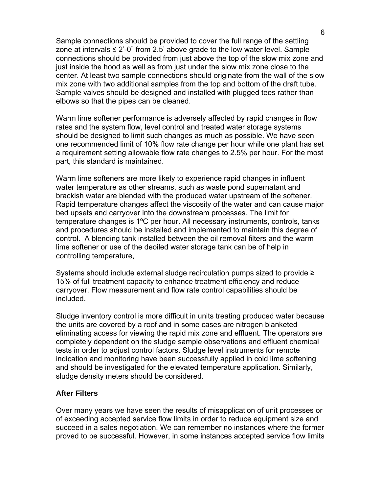Sample connections should be provided to cover the full range of the settling zone at intervals  $\leq 2^{\prime}$ -0" from 2.5' above grade to the low water level. Sample connections should be provided from just above the top of the slow mix zone and just inside the hood as well as from just under the slow mix zone close to the center. At least two sample connections should originate from the wall of the slow mix zone with two additional samples from the top and bottom of the draft tube. Sample valves should be designed and installed with plugged tees rather than elbows so that the pipes can be cleaned.

Warm lime softener performance is adversely affected by rapid changes in flow rates and the system flow, level control and treated water storage systems should be designed to limit such changes as much as possible. We have seen one recommended limit of 10% flow rate change per hour while one plant has set a requirement setting allowable flow rate changes to 2.5% per hour. For the most part, this standard is maintained.

Warm lime softeners are more likely to experience rapid changes in influent water temperature as other streams, such as waste pond supernatant and brackish water are blended with the produced water upstream of the softener. Rapid temperature changes affect the viscosity of the water and can cause major bed upsets and carryover into the downstream processes. The limit for temperature changes is 1ºC per hour. All necessary instruments, controls, tanks and procedures should be installed and implemented to maintain this degree of control. A blending tank installed between the oil removal filters and the warm lime softener or use of the deoiled water storage tank can be of help in controlling temperature,

Systems should include external sludge recirculation pumps sized to provide ≥ 15% of full treatment capacity to enhance treatment efficiency and reduce carryover. Flow measurement and flow rate control capabilities should be included.

Sludge inventory control is more difficult in units treating produced water because the units are covered by a roof and in some cases are nitrogen blanketed eliminating access for viewing the rapid mix zone and effluent. The operators are completely dependent on the sludge sample observations and effluent chemical tests in order to adjust control factors. Sludge level instruments for remote indication and monitoring have been successfully applied in cold lime softening and should be investigated for the elevated temperature application. Similarly, sludge density meters should be considered.

#### **After Filters**

Over many years we have seen the results of misapplication of unit processes or of exceeding accepted service flow limits in order to reduce equipment size and succeed in a sales negotiation. We can remember no instances where the former proved to be successful. However, in some instances accepted service flow limits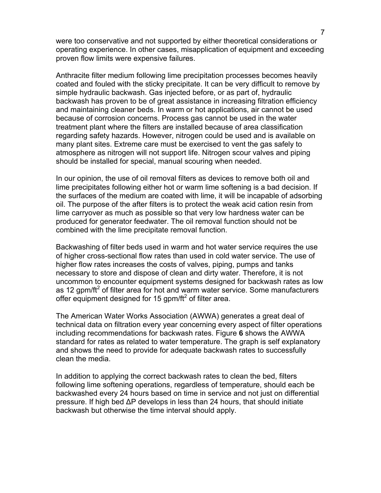were too conservative and not supported by either theoretical considerations or operating experience. In other cases, misapplication of equipment and exceeding proven flow limits were expensive failures.

Anthracite filter medium following lime precipitation processes becomes heavily coated and fouled with the sticky precipitate. It can be very difficult to remove by simple hydraulic backwash. Gas injected before, or as part of, hydraulic backwash has proven to be of great assistance in increasing filtration efficiency and maintaining cleaner beds. In warm or hot applications, air cannot be used because of corrosion concerns. Process gas cannot be used in the water treatment plant where the filters are installed because of area classification regarding safety hazards. However, nitrogen could be used and is available on many plant sites. Extreme care must be exercised to vent the gas safely to atmosphere as nitrogen will not support life. Nitrogen scour valves and piping should be installed for special, manual scouring when needed.

In our opinion, the use of oil removal filters as devices to remove both oil and lime precipitates following either hot or warm lime softening is a bad decision. If the surfaces of the medium are coated with lime, it will be incapable of adsorbing oil. The purpose of the after filters is to protect the weak acid cation resin from lime carryover as much as possible so that very low hardness water can be produced for generator feedwater. The oil removal function should not be combined with the lime precipitate removal function.

Backwashing of filter beds used in warm and hot water service requires the use of higher cross-sectional flow rates than used in cold water service. The use of higher flow rates increases the costs of valves, piping, pumps and tanks necessary to store and dispose of clean and dirty water. Therefore, it is not uncommon to encounter equipment systems designed for backwash rates as low as 12 gpm/ft<sup>2</sup> of filter area for hot and warm water service. Some manufacturers offer equipment designed for 15 gpm/ft<sup>2</sup> of filter area.

The American Water Works Association (AWWA) generates a great deal of technical data on filtration every year concerning every aspect of filter operations including recommendations for backwash rates. Figure **6** shows the AWWA standard for rates as related to water temperature. The graph is self explanatory and shows the need to provide for adequate backwash rates to successfully clean the media.

In addition to applying the correct backwash rates to clean the bed, filters following lime softening operations, regardless of temperature, should each be backwashed every 24 hours based on time in service and not just on differential pressure. If high bed ΔP develops in less than 24 hours, that should initiate backwash but otherwise the time interval should apply.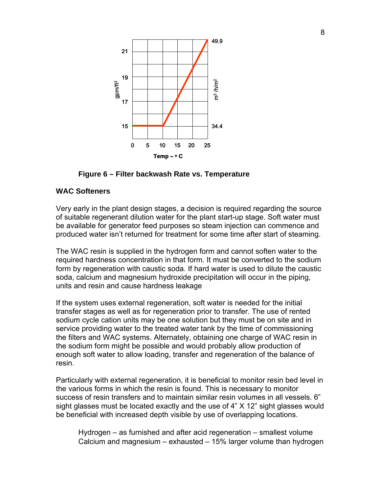

**Figure 6 – Filter backwash Rate vs. Temperature** 

#### **WAC Softeners**

Very early in the plant design stages, a decision is required regarding the source of suitable regenerant dilution water for the plant start-up stage. Soft water must be available for generator feed purposes so steam injection can commence and produced water isn't returned for treatment for some time after start of steaming.

The WAC resin is supplied in the hydrogen form and cannot soften water to the required hardness concentration in that form. It must be converted to the sodium form by regeneration with caustic soda. If hard water is used to dilute the caustic soda, calcium and magnesium hydroxide precipitation will occur in the piping, units and resin and cause hardness leakage

If the system uses external regeneration, soft water is needed for the initial transfer stages as well as for regeneration prior to transfer. The use of rented sodium cycle cation units may be one solution but they must be on site and in service providing water to the treated water tank by the time of commissioning the filters and WAC systems. Alternately, obtaining one charge of WAC resin in the sodium form might be possible and would probably allow production of enough soft water to allow loading, transfer and regeneration of the balance of resin.

Particularly with external regeneration, it is beneficial to monitor resin bed level in the various forms in which the resin is found. This is necessary to monitor success of resin transfers and to maintain similar resin volumes in all vessels. 6" sight glasses must be located exactly and the use of 4" X 12" sight glasses would be beneficial with increased depth visible by use of overlapping locations.

 Hydrogen – as furnished and after acid regeneration – smallest volume Calcium and magnesium – exhausted – 15% larger volume than hydrogen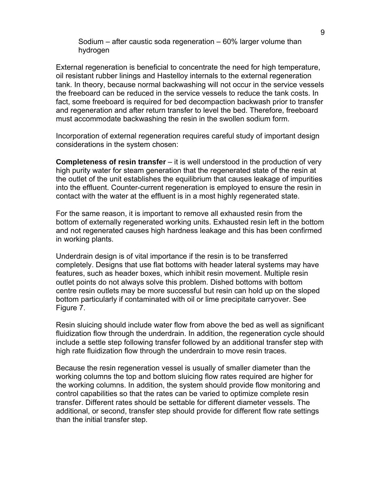Sodium – after caustic soda regeneration – 60% larger volume than hydrogen

External regeneration is beneficial to concentrate the need for high temperature, oil resistant rubber linings and Hastelloy internals to the external regeneration tank. In theory, because normal backwashing will not occur in the service vessels the freeboard can be reduced in the service vessels to reduce the tank costs. In fact, some freeboard is required for bed decompaction backwash prior to transfer and regeneration and after return transfer to level the bed. Therefore, freeboard must accommodate backwashing the resin in the swollen sodium form.

Incorporation of external regeneration requires careful study of important design considerations in the system chosen:

**Completeness of resin transfer** – it is well understood in the production of very high purity water for steam generation that the regenerated state of the resin at the outlet of the unit establishes the equilibrium that causes leakage of impurities into the effluent. Counter-current regeneration is employed to ensure the resin in contact with the water at the effluent is in a most highly regenerated state.

For the same reason, it is important to remove all exhausted resin from the bottom of externally regenerated working units. Exhausted resin left in the bottom and not regenerated causes high hardness leakage and this has been confirmed in working plants.

Underdrain design is of vital importance if the resin is to be transferred completely. Designs that use flat bottoms with header lateral systems may have features, such as header boxes, which inhibit resin movement. Multiple resin outlet points do not always solve this problem. Dished bottoms with bottom centre resin outlets may be more successful but resin can hold up on the sloped bottom particularly if contaminated with oil or lime precipitate carryover. See Figure 7.

Resin sluicing should include water flow from above the bed as well as significant fluidization flow through the underdrain. In addition, the regeneration cycle should include a settle step following transfer followed by an additional transfer step with high rate fluidization flow through the underdrain to move resin traces.

Because the resin regeneration vessel is usually of smaller diameter than the working columns the top and bottom sluicing flow rates required are higher for the working columns. In addition, the system should provide flow monitoring and control capabilities so that the rates can be varied to optimize complete resin transfer. Different rates should be settable for different diameter vessels. The additional, or second, transfer step should provide for different flow rate settings than the initial transfer step.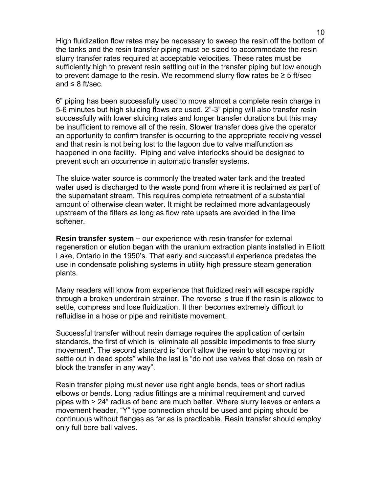High fluidization flow rates may be necessary to sweep the resin off the bottom of the tanks and the resin transfer piping must be sized to accommodate the resin slurry transfer rates required at acceptable velocities. These rates must be sufficiently high to prevent resin settling out in the transfer piping but low enough to prevent damage to the resin. We recommend slurry flow rates be  $\geq 5$  ft/sec and  $\leq 8$  ft/sec.

6" piping has been successfully used to move almost a complete resin charge in 5-6 minutes but high sluicing flows are used. 2"-3" piping will also transfer resin successfully with lower sluicing rates and longer transfer durations but this may be insufficient to remove all of the resin. Slower transfer does give the operator an opportunity to confirm transfer is occurring to the appropriate receiving vessel and that resin is not being lost to the lagoon due to valve malfunction as happened in one facility. Piping and valve interlocks should be designed to prevent such an occurrence in automatic transfer systems.

The sluice water source is commonly the treated water tank and the treated water used is discharged to the waste pond from where it is reclaimed as part of the supernatant stream. This requires complete retreatment of a substantial amount of otherwise clean water. It might be reclaimed more advantageously upstream of the filters as long as flow rate upsets are avoided in the lime softener.

**Resin transfer system –** our experience with resin transfer for external regeneration or elution began with the uranium extraction plants installed in Elliott Lake, Ontario in the 1950's. That early and successful experience predates the use in condensate polishing systems in utility high pressure steam generation plants.

Many readers will know from experience that fluidized resin will escape rapidly through a broken underdrain strainer. The reverse is true if the resin is allowed to settle, compress and lose fluidization. It then becomes extremely difficult to refluidise in a hose or pipe and reinitiate movement.

Successful transfer without resin damage requires the application of certain standards, the first of which is "eliminate all possible impediments to free slurry movement". The second standard is "don't allow the resin to stop moving or settle out in dead spots" while the last is "do not use valves that close on resin or block the transfer in any way".

Resin transfer piping must never use right angle bends, tees or short radius elbows or bends. Long radius fittings are a minimal requirement and curved pipes with > 24" radius of bend are much better. Where slurry leaves or enters a movement header, "Y" type connection should be used and piping should be continuous without flanges as far as is practicable. Resin transfer should employ only full bore ball valves.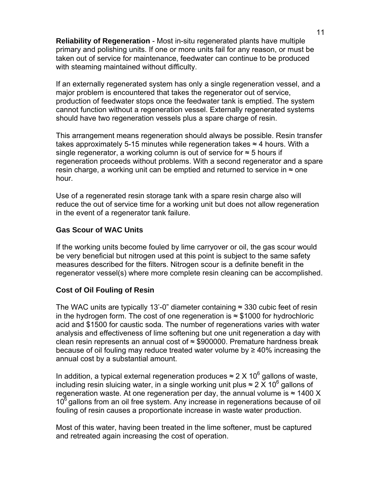**Reliability of Regeneration** - Most in-situ regenerated plants have multiple primary and polishing units. If one or more units fail for any reason, or must be taken out of service for maintenance, feedwater can continue to be produced with steaming maintained without difficulty.

If an externally regenerated system has only a single regeneration vessel, and a major problem is encountered that takes the regenerator out of service, production of feedwater stops once the feedwater tank is emptied. The system cannot function without a regeneration vessel. Externally regenerated systems should have two regeneration vessels plus a spare charge of resin.

This arrangement means regeneration should always be possible. Resin transfer takes approximately 5-15 minutes while regeneration takes ≈ 4 hours. With a single regenerator, a working column is out of service for  $\approx$  5 hours if regeneration proceeds without problems. With a second regenerator and a spare resin charge, a working unit can be emptied and returned to service in  $\approx$  one hour.

Use of a regenerated resin storage tank with a spare resin charge also will reduce the out of service time for a working unit but does not allow regeneration in the event of a regenerator tank failure.

### **Gas Scour of WAC Units**

If the working units become fouled by lime carryover or oil, the gas scour would be very beneficial but nitrogen used at this point is subject to the same safety measures described for the filters. Nitrogen scour is a definite benefit in the regenerator vessel(s) where more complete resin cleaning can be accomplished.

## **Cost of Oil Fouling of Resin**

The WAC units are typically 13'-0" diameter containing  $\approx$  330 cubic feet of resin in the hydrogen form. The cost of one regeneration is ≈ \$1000 for hydrochloric acid and \$1500 for caustic soda. The number of regenerations varies with water analysis and effectiveness of lime softening but one unit regeneration a day with clean resin represents an annual cost of  $\approx$  \$900000. Premature hardness break because of oil fouling may reduce treated water volume by  $\geq 40\%$  increasing the annual cost by a substantial amount.

In addition, a typical external regeneration produces  $\approx$  2 X 10<sup>6</sup> gallons of waste, including resin sluicing water, in a single working unit plus  $\approx 2 \times 10^6$  gallons of regeneration waste. At one regeneration per day, the annual volume is  $\approx$  1400 X  $10<sup>6</sup>$  gallons from an oil free system. Any increase in regenerations because of oil fouling of resin causes a proportionate increase in waste water production.

Most of this water, having been treated in the lime softener, must be captured and retreated again increasing the cost of operation.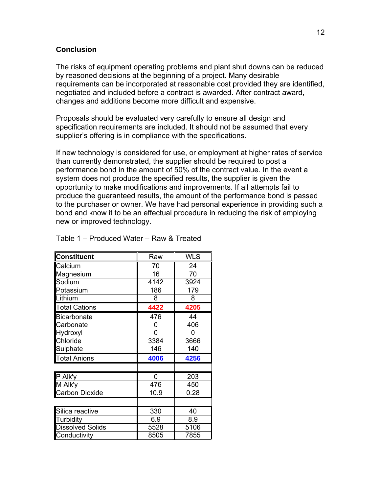#### **Conclusion**

The risks of equipment operating problems and plant shut downs can be reduced by reasoned decisions at the beginning of a project. Many desirable requirements can be incorporated at reasonable cost provided they are identified, negotiated and included before a contract is awarded. After contract award, changes and additions become more difficult and expensive.

Proposals should be evaluated very carefully to ensure all design and specification requirements are included. It should not be assumed that every supplier's offering is in compliance with the specifications.

If new technology is considered for use, or employment at higher rates of service than currently demonstrated, the supplier should be required to post a performance bond in the amount of 50% of the contract value. In the event a system does not produce the specified results, the supplier is given the opportunity to make modifications and improvements. If all attempts fail to produce the guaranteed results, the amount of the performance bond is passed to the purchaser or owner. We have had personal experience in providing such a bond and know it to be an effectual procedure in reducing the risk of employing new or improved technology.

| <b>Constituent</b>      | Raw  | <b>WLS</b> |
|-------------------------|------|------------|
| Calcium                 | 70   | 24         |
| Magnesium               | 16   | 70         |
| Sodium                  | 4142 | 3924       |
| Potassium               | 186  | 179        |
| Lithium                 | 8    | 8          |
| <b>Total Cations</b>    | 4422 | 4205       |
| <b>Bicarbonate</b>      | 476  | 44         |
| Carbonate               | 0    | 406        |
| Hydroxyl                | 0    | 0          |
| Chloride                | 3384 | 3666       |
| Sulphate                | 146  | 140        |
| <b>Total Anions</b>     | 4006 | 4256       |
|                         |      |            |
| P Alk'y                 | 0    | 203        |
| M Alk'y                 | 476  | 450        |
| <b>Carbon Dioxide</b>   | 10.9 | 0.28       |
|                         |      |            |
| Silica reactive         | 330  | 40         |
| Turbidity               | 6.9  | 8.9        |
| <b>Dissolved Solids</b> | 5528 | 5106       |
| Conductivity            | 8505 | 7855       |

Table 1 – Produced Water – Raw & Treated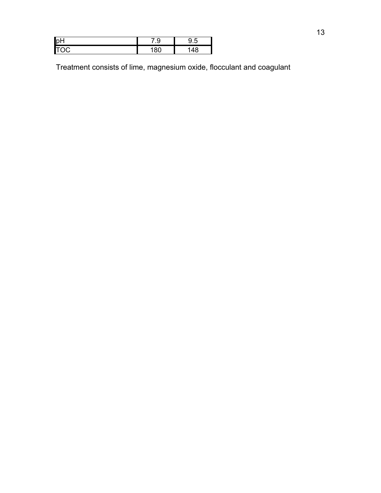| pH                 | ◡<br> | ں. |
|--------------------|-------|----|
| n<br>$\sim$ $\sim$ |       |    |

Treatment consists of lime, magnesium oxide, flocculant and coagulant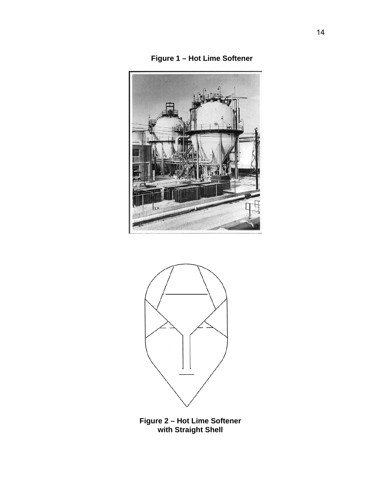





**Figure 2 – Hot Lime Softener with Straight Shell**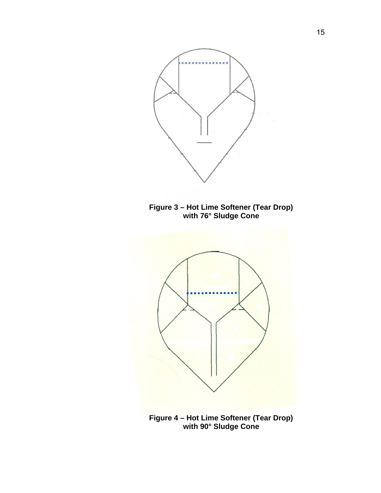

**Figure 3 – Hot Lime Softener (Tear Drop) with 76° Sludge Cone** 



**Figure 4 – Hot Lime Softener (Tear Drop) with 90° Sludge Cone**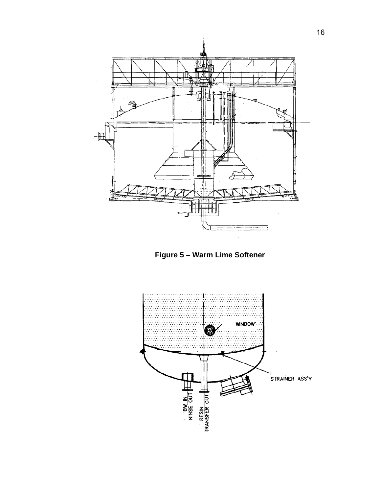